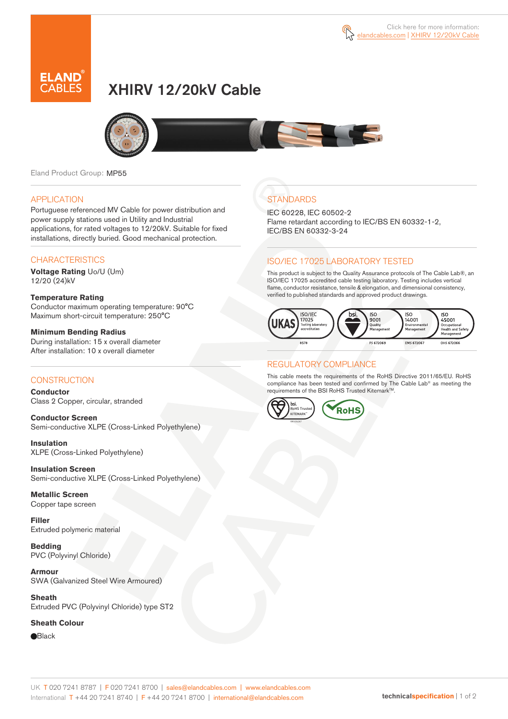



# XHIRV 12/20kV Cable



Eland Product Group: MP55

#### APPLICATION

Portuguese referenced MV Cable for power distribution and power supply stations used in Utility and Industrial applications, for rated voltages to 12/20kV. Suitable for fixed installations, directly buried. Good mechanical protection.

### **CHARACTERISTICS**

**Voltage Rating** Uo/U (Um) 12/20 (24)kV

**Temperature Rating**  Conductor maximum operating temperature: 90°C Maximum short-circuit temperature: 250°C

**Minimum Bending Radius**  During installation: 15 x overall diameter After installation: 10 x overall diameter

### **CONSTRUCTION**

**Conductor**  Class 2 Copper, circular, stranded

**Conductor Screen** Semi-conductive XLPE (Cross-Linked Polyethylene)

**Insulation** XLPE (Cross-Linked Polyethylene)

**Insulation Screen** Semi-conductive XLPE (Cross-Linked Polyethylene)

**Metallic Screen**  Copper tape screen

**Filler** Extruded polymeric material

**Bedding** PVC (Polyvinyl Chloride)

**Armour** SWA (Galvanized Steel Wire Armoured)

**Sheath** Extruded PVC (Polyvinyl Chloride) type ST2

#### **Sheath Colour**

**e**Black

## **STANDARDS**

IEC 60228, IEC 60502-2 Flame retardant according to IEC/BS EN 60332-1-2, IEC/BS EN 60332-3-24

### ISO/IEC 17025 LABORATORY TESTED

This product is subject to the Quality Assurance protocols of The Cable Lab®, an ISO/IEC 17025 accredited cable testing laboratory. Testing includes vertical flame, conductor resistance, tensile & elongation, and dimensional consistency, verified to published standards and approved product drawings.



### REGULATORY COMPLIANCE

This cable meets the requirements of the RoHS Directive 2011/65/EU. RoHS compliance has been tested and confirmed by The Cable Lab® as meeting the requirements of the BSI RoHS Trusted Kitemark™.